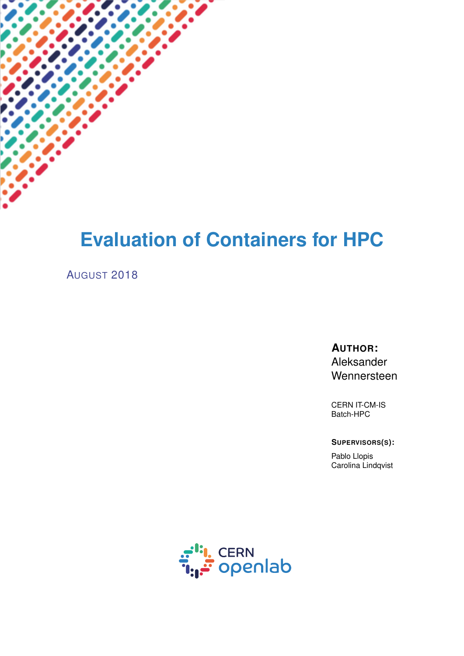# **Evaluation of Containers for HPC**

#### AUGUST 2018

**AUTHOR:** Aleksander Wennersteen

CERN IT-CM-IS Batch-HPC

**SUPERVISORS(S):**

Pablo Llopis Carolina Lindqvist

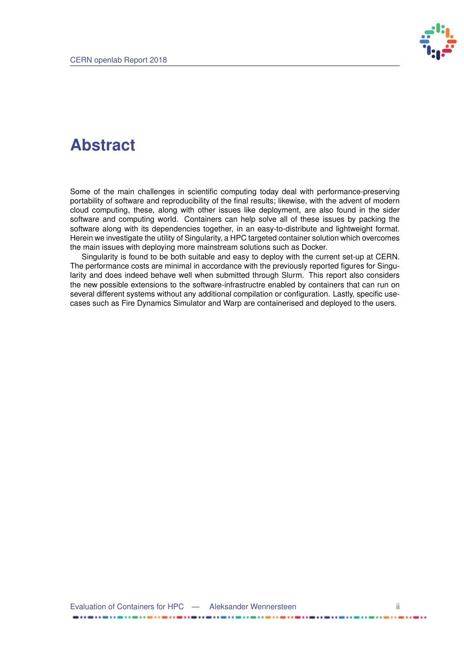

### **Abstract**

Some of the main challenges in scientific computing today deal with performance-preserving portability of software and reproducibility of the final results; likewise, with the advent of modern cloud computing, these, along with other issues like deployment, are also found in the sider software and computing world. Containers can help solve all of these issues by packing the software along with its dependencies together, in an easy-to-distribute and lightweight format. Herein we investigate the utility of Singularity, a HPC targeted container solution which overcomes the main issues with deploying more mainstream solutions such as Docker.

Singularity is found to be both suitable and easy to deploy with the current set-up at CERN. The performance costs are minimal in accordance with the previously reported figures for Singularity and does indeed behave well when submitted through Slurm. This report also considers the new possible extensions to the software-infrastructre enabled by containers that can run on several different systems without any additional compilation or configuration. Lastly, specific usecases such as Fire Dynamics Simulator and Warp are containerised and deployed to the users.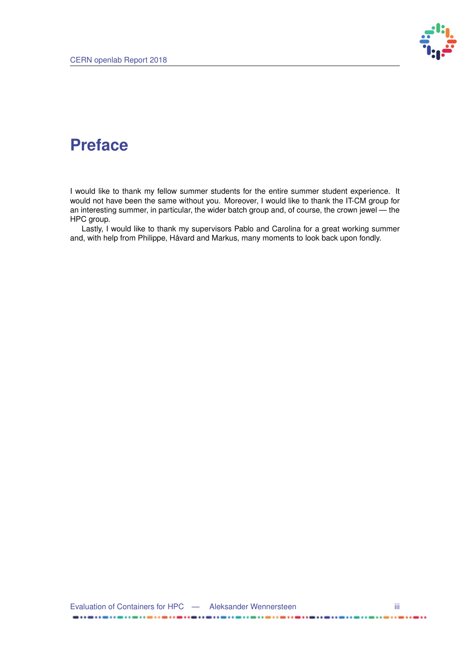

 $\ddot{\phantom{a}}$ 

### **Preface**

I would like to thank my fellow summer students for the entire summer student experience. It would not have been the same without you. Moreover, I would like to thank the IT-CM group for an interesting summer, in particular, the wider batch group and, of course, the crown jewel — the HPC group.

Lastly, I would like to thank my supervisors Pablo and Carolina for a great working summer and, with help from Philippe, Håvard and Markus, many moments to look back upon fondly.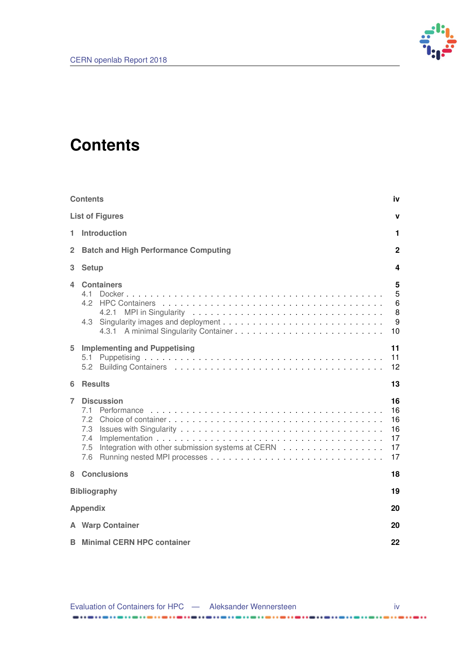

## <span id="page-3-0"></span>**Contents**

|                                        | <b>Contents</b><br>iv                                                                                            |                                        |  |  |  |
|----------------------------------------|------------------------------------------------------------------------------------------------------------------|----------------------------------------|--|--|--|
| <b>List of Figures</b><br>$\mathbf{v}$ |                                                                                                                  |                                        |  |  |  |
| 1.                                     | <b>Introduction</b>                                                                                              |                                        |  |  |  |
| 2                                      | <b>Batch and High Performance Computing</b>                                                                      |                                        |  |  |  |
| з                                      | <b>Setup</b>                                                                                                     |                                        |  |  |  |
| 4                                      | <b>Containers</b><br>4.1<br>42<br>4.2.1<br>4.3                                                                   | 5<br>5<br>6<br>8<br>9<br>10            |  |  |  |
| 5                                      | <b>Implementing and Puppetising</b><br>5.1                                                                       | 11<br>11<br>12                         |  |  |  |
| 6                                      | <b>Results</b>                                                                                                   | 13                                     |  |  |  |
| 7                                      | <b>Discussion</b><br>7.1<br>7.2<br>7.3<br>7.4<br>Integration with other submission systems at CERN<br>7.5<br>7.6 | 16<br>16<br>16<br>16<br>17<br>17<br>17 |  |  |  |
| 8                                      | <b>Conclusions</b>                                                                                               | 18                                     |  |  |  |
|                                        | <b>Bibliography</b><br>19                                                                                        |                                        |  |  |  |
|                                        | <b>Appendix</b><br>20                                                                                            |                                        |  |  |  |
|                                        | <b>A</b> Warp Container                                                                                          | 20                                     |  |  |  |
|                                        | <b>B</b> Minimal CERN HPC container                                                                              | 22                                     |  |  |  |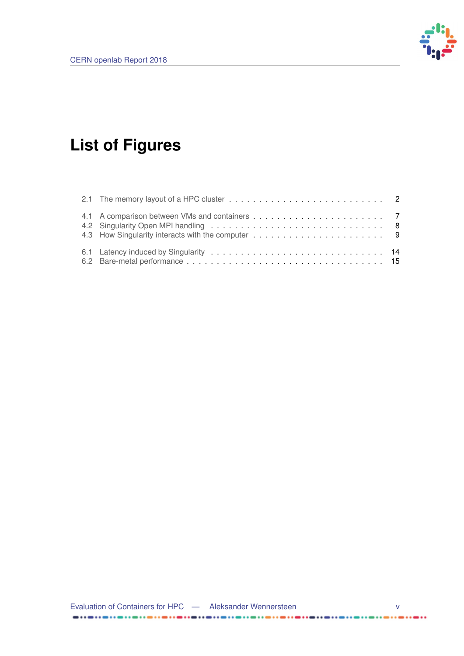

# <span id="page-4-0"></span>**List of Figures**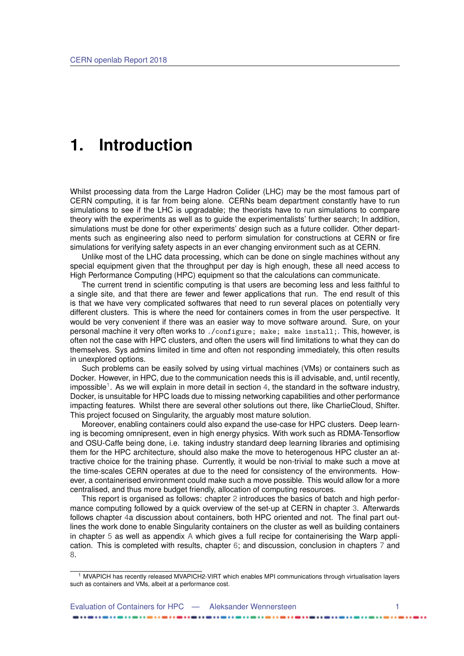### <span id="page-5-0"></span>**1. Introduction**

Whilst processing data from the Large Hadron Colider (LHC) may be the most famous part of CERN computing, it is far from being alone. CERNs beam department constantly have to run simulations to see if the LHC is upgradable; the theorists have to run simulations to compare theory with the experiments as well as to guide the experimentalists' further search; In addition, simulations must be done for other experiments' design such as a future collider. Other departments such as engineering also need to perform simulation for constructions at CERN or fire simulations for verifying safety aspects in an ever changing environment such as at CERN.

Unlike most of the LHC data processing, which can be done on single machines without any special equipment given that the throughput per day is high enough, these all need access to High Performance Computing (HPC) equipment so that the calculations can communicate.

The current trend in scientific computing is that users are becoming less and less faithful to a single site, and that there are fewer and fewer applications that run. The end result of this is that we have very complicated softwares that need to run several places on potentially very different clusters. This is where the need for containers comes in from the user perspective. It would be very convenient if there was an easier way to move software around. Sure, on your personal machine it very often works to ./configure; make; make install;. This, however, is often not the case with HPC clusters, and often the users will find limitations to what they can do themselves. Sys admins limited in time and often not responding immediately, this often results in unexplored options.

Such problems can be easily solved by using virtual machines (VMs) or containers such as Docker. However, in HPC, due to the communication needs this is ill advisable, and, until recently, impossible<sup>[1](#page-5-1)</sup>. As we will explain in more detail in section [4,](#page-9-0) the standard in the software industry, Docker, is unsuitable for HPC loads due to missing networking capabilities and other performance impacting features. Whilst there are several other solutions out there, like CharlieCloud, Shifter. This project focused on Singularity, the arguably most mature solution.

Moreover, enabling containers could also expand the use-case for HPC clusters. Deep learning is becoming omnipresent, even in high energy physics. With work such as RDMA-Tensorflow and OSU-Caffe being done, i.e. taking industry standard deep learning libraries and optimising them for the HPC architecture, should also make the move to heterogenous HPC cluster an attractive choice for the training phase. Currently, it would be non-trivial to make such a move at the time-scales CERN operates at due to the need for consistency of the environments. However, a containerised environment could make such a move possible. This would allow for a more centralised, and thus more budget friendly, allocation of computing resources.

This report is organised as follows: chapter [2](#page-6-0) introduces the basics of batch and high performance computing followed by a quick overview of the set-up at CERN in chapter [3.](#page-8-0) Afterwards follows chapter [4a](#page-9-0) discussion about containers, both HPC oriented and not. The final part outlines the work done to enable Singularity containers on the cluster as well as building containers in chapter [5](#page-15-0) as well as appendix [A](#page-24-0) which gives a full recipe for containerising the Warp application. This is completed with results, chapter [6;](#page-17-0) and discussion, conclusion in chapters [7](#page-20-0) and [8.](#page-22-0)

<span id="page-5-1"></span><sup>1</sup> MVAPICH has recently released MVAPICH2-VIRT which enables MPI communications through virtualisation layers such as containers and VMs, albeit at a performance cost.

| Evaluation of Containers for HPC — Aleksander Wennersteen |  |
|-----------------------------------------------------------|--|
|                                                           |  |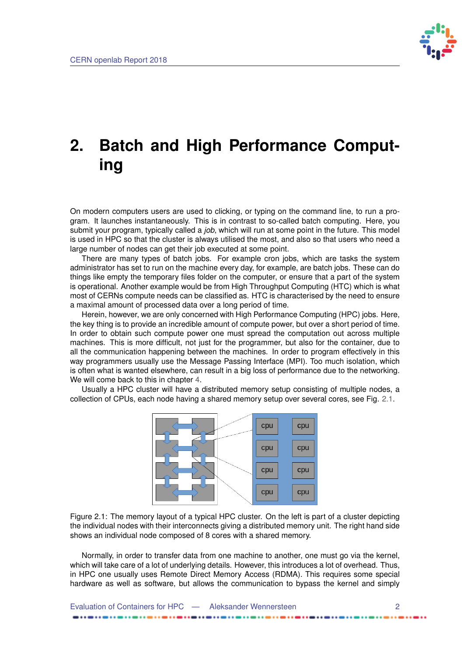

# <span id="page-6-0"></span>**2. Batch and High Performance Computing**

On modern computers users are used to clicking, or typing on the command line, to run a program. It launches instantaneously. This is in contrast to so-called batch computing. Here, you submit your program, typically called a *job*, which will run at some point in the future. This model is used in HPC so that the cluster is always utilised the most, and also so that users who need a large number of nodes can get their job executed at some point.

There are many types of batch jobs. For example cron jobs, which are tasks the system administrator has set to run on the machine every day, for example, are batch jobs. These can do things like empty the temporary files folder on the computer, or ensure that a part of the system is operational. Another example would be from High Throughput Computing (HTC) which is what most of CERNs compute needs can be classified as. HTC is characterised by the need to ensure a maximal amount of processed data over a long period of time.

Herein, however, we are only concerned with High Performance Computing (HPC) jobs. Here, the key thing is to provide an incredible amount of compute power, but over a short period of time. In order to obtain such compute power one must spread the computation out across multiple machines. This is more difficult, not just for the programmer, but also for the container, due to all the communication happening between the machines. In order to program effectively in this way programmers usually use the Message Passing Interface (MPI). Too much isolation, which is often what is wanted elsewhere, can result in a big loss of performance due to the networking. We will come back to this in chapter [4.](#page-9-0)

<span id="page-6-1"></span>Usually a HPC cluster will have a distributed memory setup consisting of multiple nodes, a collection of CPUs, each node having a shared memory setup over several cores, see Fig. [2.1.](#page-6-1)



Figure 2.1: The memory layout of a typical HPC cluster. On the left is part of a cluster depicting the individual nodes with their interconnects giving a distributed memory unit. The right hand side shows an individual node composed of 8 cores with a shared memory.

Normally, in order to transfer data from one machine to another, one must go via the kernel, which will take care of a lot of underlying details. However, this introduces a lot of overhead. Thus, in HPC one usually uses Remote Direct Memory Access (RDMA). This requires some special hardware as well as software, but allows the communication to bypass the kernel and simply

Evaluation of Containers for HPC — Aleksander Wennersteen 2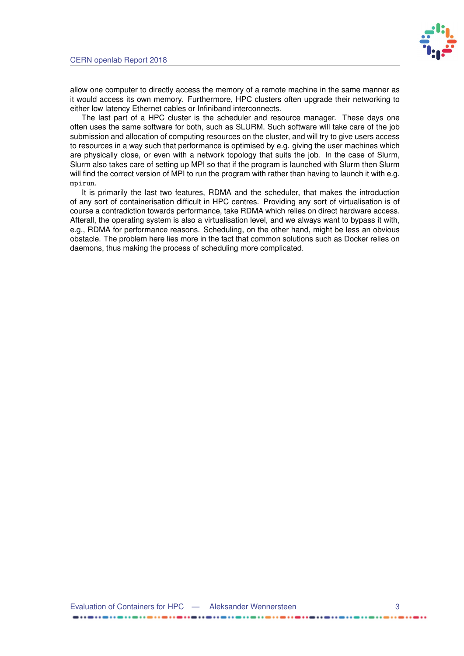

allow one computer to directly access the memory of a remote machine in the same manner as it would access its own memory. Furthermore, HPC clusters often upgrade their networking to either low latency Ethernet cables or Infiniband interconnects.

The last part of a HPC cluster is the scheduler and resource manager. These days one often uses the same software for both, such as SLURM. Such software will take care of the job submission and allocation of computing resources on the cluster, and will try to give users access to resources in a way such that performance is optimised by e.g. giving the user machines which are physically close, or even with a network topology that suits the job. In the case of Slurm, Slurm also takes care of setting up MPI so that if the program is launched with Slurm then Slurm will find the correct version of MPI to run the program with rather than having to launch it with e.g. mpirun.

It is primarily the last two features, RDMA and the scheduler, that makes the introduction of any sort of containerisation difficult in HPC centres. Providing any sort of virtualisation is of course a contradiction towards performance, take RDMA which relies on direct hardware access. Afterall, the operating system is also a virtualisation level, and we always want to bypass it with, e.g., RDMA for performance reasons. Scheduling, on the other hand, might be less an obvious obstacle. The problem here lies more in the fact that common solutions such as Docker relies on daemons, thus making the process of scheduling more complicated.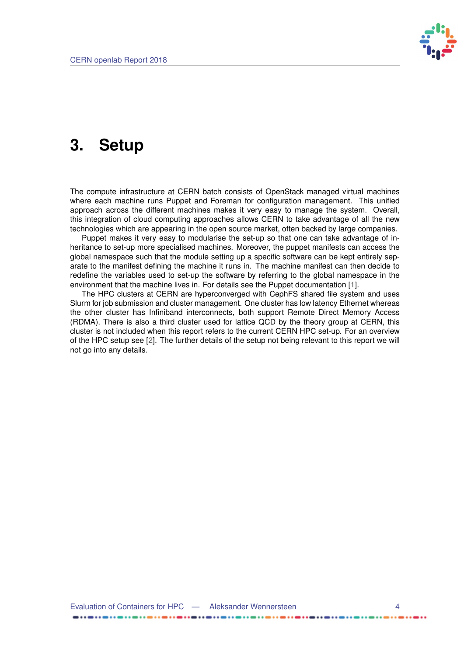

## <span id="page-8-1"></span><span id="page-8-0"></span>**3. Setup**

The compute infrastructure at CERN batch consists of OpenStack managed virtual machines where each machine runs Puppet and Foreman for configuration management. This unified approach across the different machines makes it very easy to manage the system. Overall, this integration of cloud computing approaches allows CERN to take advantage of all the new technologies which are appearing in the open source market, often backed by large companies.

Puppet makes it very easy to modularise the set-up so that one can take advantage of inheritance to set-up more specialised machines. Moreover, the puppet manifests can access the global namespace such that the module setting up a specific software can be kept entirely separate to the manifest defining the machine it runs in. The machine manifest can then decide to redefine the variables used to set-up the software by referring to the global namespace in the environment that the machine lives in. For details see the Puppet documentation [\[1\]](#page-23-1).

The HPC clusters at CERN are hyperconverged with CephFS shared file system and uses Slurm for job submission and cluster management. One cluster has low latency Ethernet whereas the other cluster has Infiniband interconnects, both support Remote Direct Memory Access (RDMA). There is also a third cluster used for lattice QCD by the theory group at CERN, this cluster is not included when this report refers to the current CERN HPC set-up. For an overview of the HPC setup see [\[2\]](#page-23-2). The further details of the setup not being relevant to this report we will not go into any details.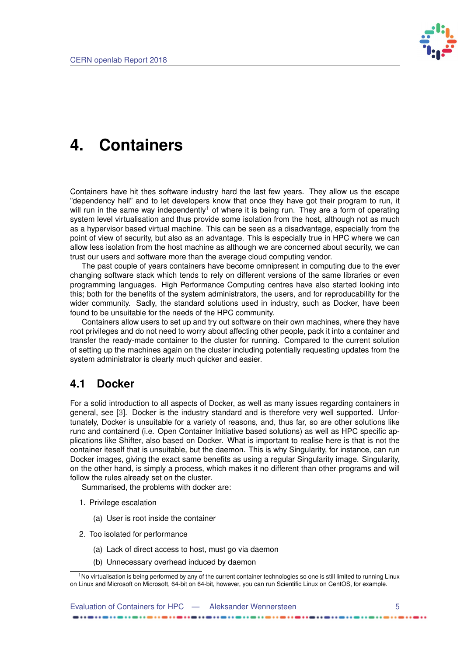

### <span id="page-9-3"></span><span id="page-9-0"></span>**4. Containers**

Containers have hit thes software industry hard the last few years. They allow us the escape "dependency hell" and to let developers know that once they have got their program to run, it will run in the same way independently<sup>[1](#page-9-2)</sup> of where it is being run. They are a form of operating system level virtualisation and thus provide some isolation from the host, although not as much as a hypervisor based virtual machine. This can be seen as a disadvantage, especially from the point of view of security, but also as an advantage. This is especially true in HPC where we can allow less isolation from the host machine as although we are concerned about security, we can trust our users and software more than the average cloud computing vendor.

The past couple of years containers have become omnipresent in computing due to the ever changing software stack which tends to rely on different versions of the same libraries or even programming languages. High Performance Computing centres have also started looking into this; both for the benefits of the system administrators, the users, and for reproducability for the wider community. Sadly, the standard solutions used in industry, such as Docker, have been found to be unsuitable for the needs of the HPC community.

Containers allow users to set up and try out software on their own machines, where they have root privileges and do not need to worry about affecting other people, pack it into a container and transfer the ready-made container to the cluster for running. Compared to the current solution of setting up the machines again on the cluster including potentially requesting updates from the system administrator is clearly much quicker and easier.

#### <span id="page-9-1"></span>**4.1 Docker**

For a solid introduction to all aspects of Docker, as well as many issues regarding containers in general, see [\[3\]](#page-23-3). Docker is the industry standard and is therefore very well supported. Unfortunately, Docker is unsuitable for a variety of reasons, and, thus far, so are other solutions like runc and containerd (i.e. Open Container Initiative based solutions) as well as HPC specific applications like Shifter, also based on Docker. What is important to realise here is that is not the container iteself that is unsuitable, but the daemon. This is why Singularity, for instance, can run Docker images, giving the exact same benefits as using a regular Singularity image. Singularity, on the other hand, is simply a process, which makes it no different than other programs and will follow the rules already set on the cluster.

Summarised, the problems with docker are:

- 1. Privilege escalation
	- (a) User is root inside the container
- 2. Too isolated for performance
	- (a) Lack of direct access to host, must go via daemon
	- (b) Unnecessary overhead induced by daemon

Evaluation of Containers for HPC — Aleksander Wennersteen 5

<span id="page-9-2"></span><sup>&</sup>lt;sup>1</sup>No virtualisation is being performed by any of the current container technologies so one is still limited to running Linux on Linux and Microsoft on Microsoft, 64-bit on 64-bit, however, you can run Scientific Linux on CentOS, for example.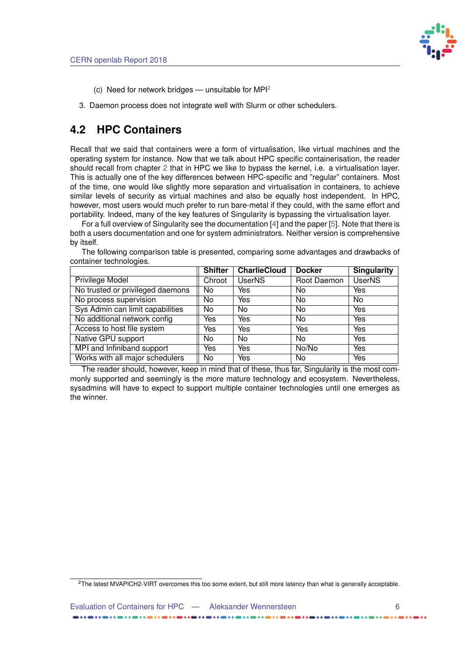

- <span id="page-10-2"></span>(c) Need for network bridges — unsuitable for  $MPI<sup>2</sup>$  $MPI<sup>2</sup>$  $MPI<sup>2</sup>$
- 3. Daemon process does not integrate well with Slurm or other schedulers.

### <span id="page-10-0"></span>**4.2 HPC Containers**

Recall that we said that containers were a form of virtualisation, like virtual machines and the operating system for instance. Now that we talk about HPC specific containerisation, the reader should recall from chapter [2](#page-6-0) that in HPC we like to bypass the kernel, i.e. a virtualisation layer. This is actually one of the key differences between HPC-specific and "regular" containers. Most of the time, one would like slightly more separation and virtualisation in containers, to achieve similar levels of security as virtual machines and also be equally host independent. In HPC, however, most users would much prefer to run bare-metal if they could, with the same effort and portability. Indeed, many of the key features of Singularity is bypassing the virtualisation layer.

For a full overview of Singularity see the documentation [\[4\]](#page-23-4) and the paper [\[5\]](#page-23-5). Note that there is both a users documentation and one for system administrators. Neither version is comprehensive by itself.

| ີ                                | <b>Shifter</b> | <b>CharlieCloud</b> | <b>Docker</b> | <b>Singularity</b> |
|----------------------------------|----------------|---------------------|---------------|--------------------|
| <b>Privilege Model</b>           | Chroot         | UserNS              | Root Daemon   | <b>UserNS</b>      |
| No trusted or privileged daemons | No             | Yes                 | No            | Yes                |
| No process supervision           | No.            | Yes                 | No.           | No.                |
| Sys Admin can limit capabilities | No             | No.                 | No.           | Yes                |
| No additional network config     | Yes            | Yes                 | No            | Yes                |
| Access to host file system       | Yes            | Yes                 | Yes           | Yes                |
| Native GPU support               | No.            | No.                 | No            | Yes                |
| MPI and Infiniband support       | Yes            | Yes                 | No/No         | Yes                |
| Works with all major schedulers  | No             | Yes                 | No            | Yes                |

The following comparison table is presented, comparing some advantages and drawbacks of container technologies.

The reader should, however, keep in mind that of these, thus far, Singularity is the most commonly supported and seemingly is the more mature technology and ecosystem. Nevertheless, sysadmins will have to expect to support multiple container technologies until one emerges as the winner.

<span id="page-10-1"></span><sup>2</sup>The latest MVAPICH2-VIRT overcomes this too some extent, but still more latency than what is generally acceptable.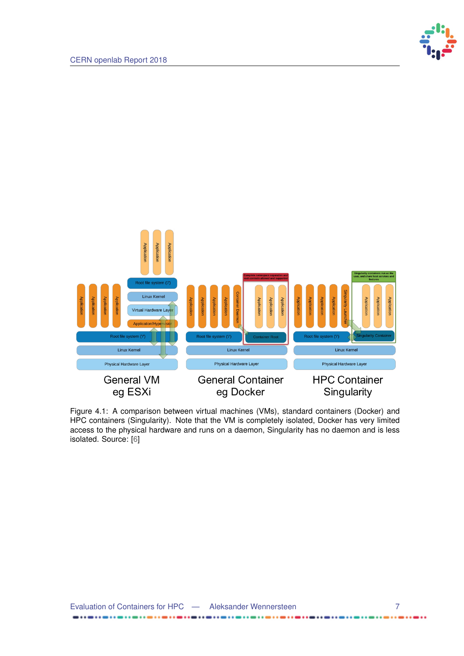

<span id="page-11-1"></span><span id="page-11-0"></span>

Figure 4.1: A comparison between virtual machines (VMs), standard containers (Docker) and HPC containers (Singularity). Note that the VM is completely isolated, Docker has very limited access to the physical hardware and runs on a daemon, Singularity has no daemon and is less isolated. Source: [\[6\]](#page-23-6)

..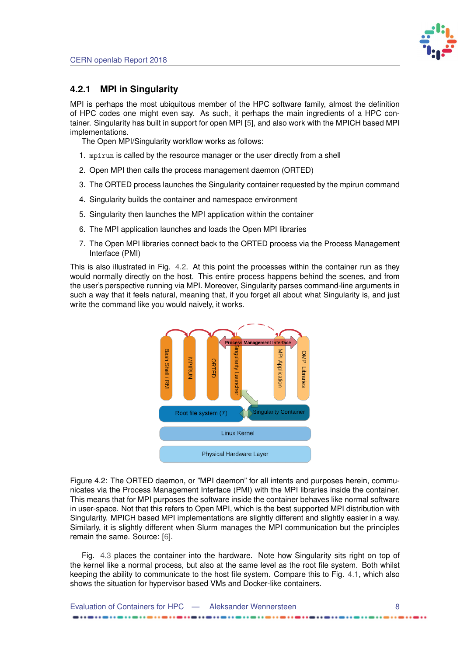

#### <span id="page-12-2"></span><span id="page-12-0"></span>**4.2.1 MPI in Singularity**

MPI is perhaps the most ubiquitous member of the HPC software family, almost the definition of HPC codes one might even say. As such, it perhaps the main ingredients of a HPC container. Singularity has built in support for open MPI [\[5\]](#page-23-5), and also work with the MPICH based MPI implementations.

The Open MPI/Singularity workflow works as follows:

- 1. mpirun is called by the resource manager or the user directly from a shell
- 2. Open MPI then calls the process management daemon (ORTED)
- 3. The ORTED process launches the Singularity container requested by the mpirun command
- 4. Singularity builds the container and namespace environment
- 5. Singularity then launches the MPI application within the container
- 6. The MPI application launches and loads the Open MPI libraries
- 7. The Open MPI libraries connect back to the ORTED process via the Process Management Interface (PMI)

<span id="page-12-1"></span>This is also illustrated in Fig. [4.2.](#page-12-1) At this point the processes within the container run as they would normally directly on the host. This entire process happens behind the scenes, and from the user's perspective running via MPI. Moreover, Singularity parses command-line arguments in such a way that it feels natural, meaning that, if you forget all about what Singularity is, and just write the command like you would naively, it works.



Figure 4.2: The ORTED daemon, or "MPI daemon" for all intents and purposes herein, communicates via the Process Management Interface (PMI) with the MPI libraries inside the container. This means that for MPI purposes the software inside the container behaves like normal software in user-space. Not that this refers to Open MPI, which is the best supported MPI distribution with Singularity. MPICH based MPI implementations are slightly different and slightly easier in a way. Similarly, it is slightly different when Slurm manages the MPI communication but the principles remain the same. Source: [\[6\]](#page-23-6).

Fig. [4.3](#page-13-1) places the container into the hardware. Note how Singularity sits right on top of the kernel like a normal process, but also at the same level as the root file system. Both whilst keeping the ability to communicate to the host file system. Compare this to Fig. [4.1,](#page-11-0) which also shows the situation for hypervisor based VMs and Docker-like containers.

| Evaluation of Containers for HPC — Aleksander Wennersteen |  |
|-----------------------------------------------------------|--|
|                                                           |  |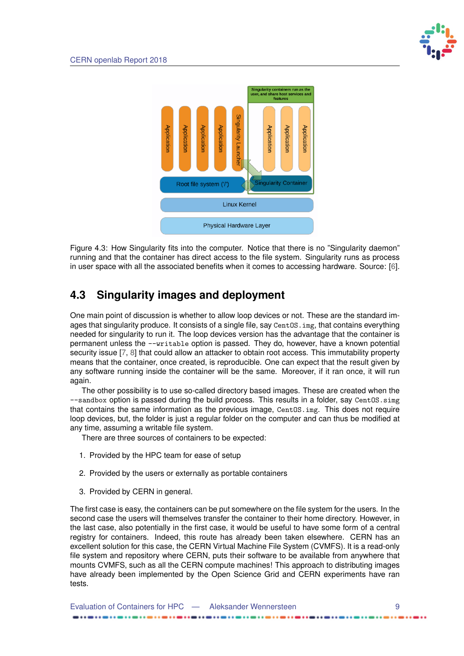<span id="page-13-2"></span><span id="page-13-1"></span>

Figure 4.3: How Singularity fits into the computer. Notice that there is no "Singularity daemon" running and that the container has direct access to the file system. Singularity runs as process in user space with all the associated benefits when it comes to accessing hardware. Source: [\[6\]](#page-23-6).

### <span id="page-13-0"></span>**4.3 Singularity images and deployment**

One main point of discussion is whether to allow loop devices or not. These are the standard images that singularity produce. It consists of a single file, say CentOS. img, that contains everything needed for singularity to run it. The loop devices version has the advantage that the container is permanent unless the --writable option is passed. They do, however, have a known potential security issue [\[7,](#page-23-7) [8\]](#page-23-8) that could allow an attacker to obtain root access. This immutability property means that the container, once created, is reproducible. One can expect that the result given by any software running inside the container will be the same. Moreover, if it ran once, it will run again.

The other possibility is to use so-called directory based images. These are created when the --sandbox option is passed during the build process. This results in a folder, say CentOS.simg that contains the same information as the previous image, CentOS.img. This does not require loop devices, but, the folder is just a regular folder on the computer and can thus be modified at any time, assuming a writable file system.

There are three sources of containers to be expected:

- 1. Provided by the HPC team for ease of setup
- 2. Provided by the users or externally as portable containers
- 3. Provided by CERN in general.

The first case is easy, the containers can be put somewhere on the file system for the users. In the second case the users will themselves transfer the container to their home directory. However, in the last case, also potentially in the first case, it would be useful to have some form of a central registry for containers. Indeed, this route has already been taken elsewhere. CERN has an excellent solution for this case, the CERN Virtual Machine File System (CVMFS). It is a read-only file system and repository where CERN, puts their software to be available from anywhere that mounts CVMFS, such as all the CERN compute machines! This approach to distributing images have already been implemented by the Open Science Grid and CERN experiments have ran tests.

Evaluation of Containers for HPC — Aleksander Wennersteen 9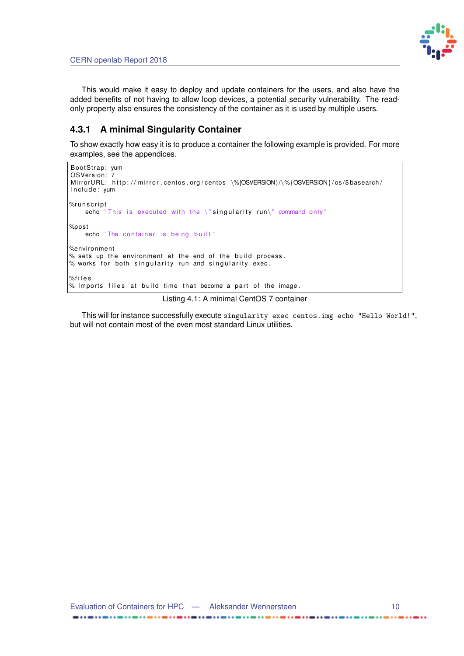

.....

This would make it easy to deploy and update containers for the users, and also have the added benefits of not having to allow loop devices, a potential security vulnerability. The readonly property also ensures the consistency of the container as it is used by multiple users.

#### <span id="page-14-0"></span>**4.3.1 A minimal Singularity Container**

To show exactly how easy it is to produce a container the following example is provided. For more examples, see the appendices.

```
BootStrap: yum
OSVersion: 7
MirrorURL: http://mirror.centos.org/centos-\%{OSVERSION}/\%{OSVERSION}/os/$basearch/
Include: yum
%r u n s c r i p t
    echo "This is executed with the \iota" singularity run\iota" command only"
%po st
    echo "The container is being built"
%environment
% sets up the environment at the end of the build process.
% works for both singularity run and singularity exec.
%f i l e s
% Imports files at build time that become a part of the image.
```
#### Listing 4.1: A minimal CentOS 7 container

This will for instance successfully execute singularity exec centos.img echo "Hello World!", but will not contain most of the even most standard Linux utilities.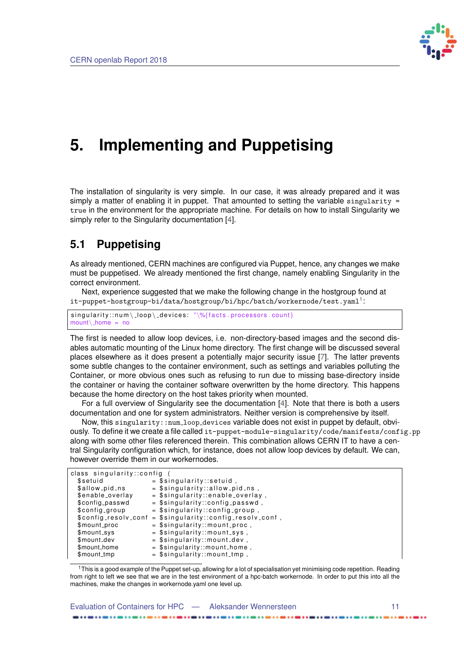

# <span id="page-15-3"></span><span id="page-15-0"></span>**5. Implementing and Puppetising**

The installation of singularity is very simple. In our case, it was already prepared and it was simply a matter of enabling it in puppet. That amounted to setting the variable singularity  $=$ true in the environment for the appropriate machine. For details on how to install Singularity we simply refer to the Singularity documentation [\[4\]](#page-23-4).

### <span id="page-15-1"></span>**5.1 Puppetising**

As already mentioned, CERN machines are configured via Puppet, hence, any changes we make must be puppetised. We already mentioned the first change, namely enabling Singularity in the correct environment.

Next, experience suggested that we make the following change in the hostgroup found at  $\texttt{it-puppet-hostgroup-bi/data/hostgroup/bi/hpc/batch/workernode/test.yaml}^1$  $\texttt{it-puppet-hostgroup-bi/data/hostgroup/bi/hpc/batch/workernode/test.yaml}^1$ 

 $singularity::num \langle loop \rangle_d$  devices: " $\%$ {facts . processors . count}  $mount \rangle$  home = no

The first is needed to allow loop devices, i.e. non-directory-based images and the second disables automatic mounting of the Linux home directory. The first change will be discussed several places elsewhere as it does present a potentially major security issue [\[7\]](#page-23-7). The latter prevents some subtle changes to the container environment, such as settings and variables polluting the Container, or more obvious ones such as refusing to run due to missing base-directory inside the container or having the container software overwritten by the home directory. This happens because the home directory on the host takes priority when mounted.

For a full overview of Singularity see the documentation [\[4\]](#page-23-4). Note that there is both a users documentation and one for system administrators. Neither version is comprehensive by itself.

Now, this singularity::num loop devices variable does not exist in puppet by default, obviously. To define it we create a file called it-puppet-module-singularity/code/manifests/config.pp along with some other files referenced therein. This combination allows CERN IT to have a central Singularity configuration which, for instance, does not allow loop devices by default. We can, however override them in our workernodes.

| class singularity::config |                                                                |  |  |  |
|---------------------------|----------------------------------------------------------------|--|--|--|
| \$setuid                  | $=$ \$singularity::setuid,                                     |  |  |  |
| \$allow_pid_ns            | $=$ \$singularity::allow_pid_ns,                               |  |  |  |
| \$enable_overlay          | $=$ \$singularity::enable_overlay,                             |  |  |  |
| \$config_passwd           | $=$ \$singularity::config_passwd,                              |  |  |  |
| \$config_group            | $=$ \$singularity::config_group,                               |  |  |  |
|                           | $\$config\_resolv\_conf = $singularity::config\_resolv\_conf,$ |  |  |  |
| \$mount_proc              | $=$ \$singularity::mount_proc,                                 |  |  |  |
| \$mount_sys               | $=$ \$singularity::mount_sys,                                  |  |  |  |
| \$mount_dev               | $=$ \$singularity::mount_dev,                                  |  |  |  |
| \$mount_home              | $=$ \$singularity::mount_home,                                 |  |  |  |
| \$mount_tmp               | $=$ \$singularity::mount_tmp,                                  |  |  |  |

<span id="page-15-2"></span> $1$ This is a good example of the Puppet set-up, allowing for a lot of specialisation yet minimising code repetition. Reading from right to left we see that we are in the test environment of a hpc-batch workernode. In order to put this into all the machines, make the changes in workernode.yaml one level up.

| Evaluation of Containers for HPC — Aleksander Wennersteen |  |
|-----------------------------------------------------------|--|
|                                                           |  |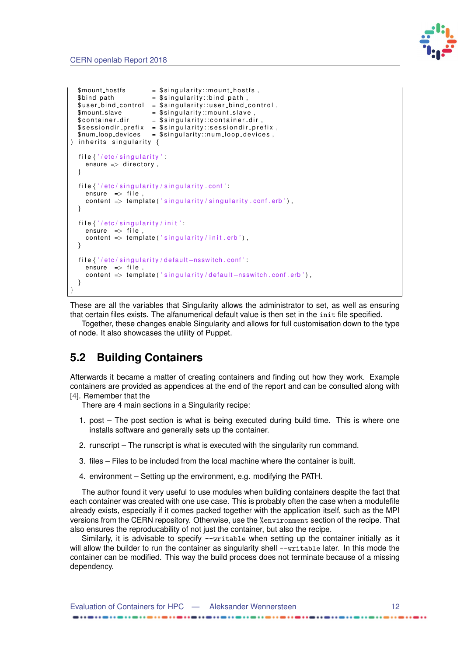

```
$mount\_hosts = $singularity::mount\_hosts \; ,$bind_path                                   $singularity::bind_path ,
  $user\_bind\_control = $singularity::user\_bind\_control,
  $mount\_slave = $ singularity::mount\_slave$contact = $singularity::contact dir
  \$sessiondir_prefix = \$singularity::sessiondir_prefix ,
  $ num loop devices = $ s i n g u l a r i t y : : n u m l o o p d e v i c e s ,
) inherits singularity \{file { '/ etc / singularity ' :
    ensure \Rightarrow directory,
  }
  file \{'/etc/singularity/singularity.conf'.
    ensure \Rightarrow file.
    content \Rightarrow template ('singularity/singularity.conf.erb'),
  }
  file {'/etc/singularity/init'.
    ensure \Rightarrow file
    content \Rightarrow template ('singularity/init.erb'),
  }
  file {'/etc/singularity/default-nsswitch.conf':
    en\sure \Rightarrow file,
    content \Rightarrow template ('singularity/default-nsswitch.conf.erb'),
  }
}
```
These are all the variables that Singularity allows the administrator to set, as well as ensuring that certain files exists. The alfanumerical default value is then set in the init file specified.

Together, these changes enable Singularity and allows for full customisation down to the type of node. It also showcases the utility of Puppet.

#### <span id="page-16-0"></span>**5.2 Building Containers**

Afterwards it became a matter of creating containers and finding out how they work. Example containers are provided as appendices at the end of the report and can be consulted along with [\[4\]](#page-23-4). Remember that the

There are 4 main sections in a Singularity recipe:

- 1. post The post section is what is being executed during build time. This is where one installs software and generally sets up the container.
- 2. runscript The runscript is what is executed with the singularity run command.
- 3. files Files to be included from the local machine where the container is built.
- 4. environment Setting up the environment, e.g. modifying the PATH.

The author found it very useful to use modules when building containers despite the fact that each container was created with one use case. This is probably often the case when a modulefile already exists, especially if it comes packed together with the application itself, such as the MPI versions from the CERN repository. Otherwise, use the %environment section of the recipe. That also ensures the reproducability of not just the container, but also the recipe.

Similarly, it is advisable to specify --writable when setting up the container initially as it will allow the builder to run the container as singularity shell --writable later. In this mode the container can be modified. This way the build process does not terminate because of a missing dependency.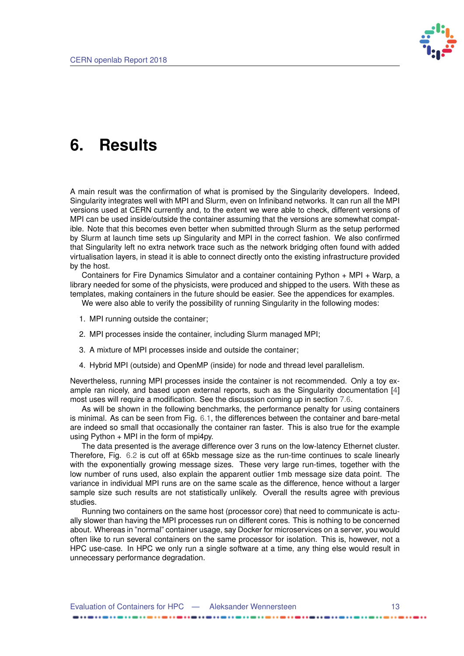

## <span id="page-17-1"></span><span id="page-17-0"></span>**6. Results**

A main result was the confirmation of what is promised by the Singularity developers. Indeed, Singularity integrates well with MPI and Slurm, even on Infiniband networks. It can run all the MPI versions used at CERN currently and, to the extent we were able to check, different versions of MPI can be used inside/outside the container assuming that the versions are somewhat compatible. Note that this becomes even better when submitted through Slurm as the setup performed by Slurm at launch time sets up Singularity and MPI in the correct fashion. We also confirmed that Singularity left no extra network trace such as the network bridging often found with added virtualisation layers, in stead it is able to connect directly onto the existing infrastructure provided by the host.

Containers for Fire Dynamics Simulator and a container containing Python + MPI + Warp, a library needed for some of the physicists, were produced and shipped to the users. With these as templates, making containers in the future should be easier. See the appendices for examples.

We were also able to verify the possibility of running Singularity in the following modes:

- 1. MPI running outside the container;
- 2. MPI processes inside the container, including Slurm managed MPI;
- 3. A mixture of MPI processes inside and outside the container;
- 4. Hybrid MPI (outside) and OpenMP (inside) for node and thread level parallelism.

Nevertheless, running MPI processes inside the container is not recommended. Only a toy example ran nicely, and based upon external reports, such as the Singularity documentation [\[4\]](#page-23-4) most uses will require a modification. See the discussion coming up in section [7.6.](#page-21-1)

As will be shown in the following benchmarks, the performance penalty for using containers is minimal. As can be seen from Fig. [6.1,](#page-18-0) the differences between the container and bare-metal are indeed so small that occasionally the container ran faster. This is also true for the example using Python  $+$  MPI in the form of mpi4py.

The data presented is the average difference over 3 runs on the low-latency Ethernet cluster. Therefore, Fig. [6.2](#page-19-0) is cut off at 65kb message size as the run-time continues to scale linearly with the exponentially growing message sizes. These very large run-times, together with the low number of runs used, also explain the apparent outlier 1mb message size data point. The variance in individual MPI runs are on the same scale as the difference, hence without a larger sample size such results are not statistically unlikely. Overall the results agree with previous studies.

Running two containers on the same host (processor core) that need to communicate is actually slower than having the MPI processes run on different cores. This is nothing to be concerned about. Whereas in "normal" container usage, say Docker for microservices on a server, you would often like to run several containers on the same processor for isolation. This is, however, not a HPC use-case. In HPC we only run a single software at a time, any thing else would result in unnecessary performance degradation.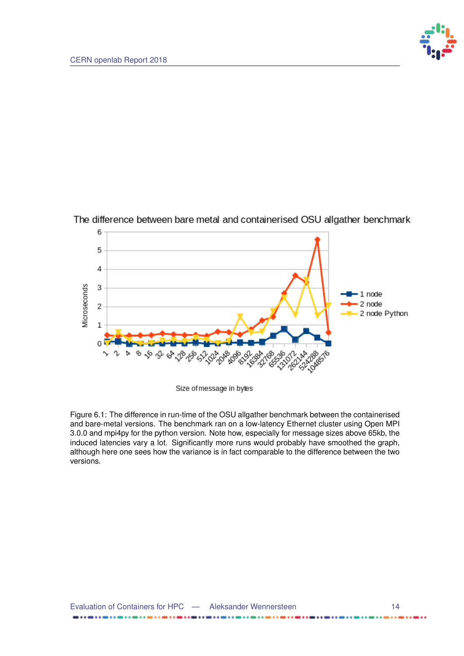



<span id="page-18-0"></span>The difference between bare metal and containerised OSU allgather benchmark

Size of message in bytes

Figure 6.1: The difference in run-time of the OSU allgather benchmark between the containerised and bare-metal versions. The benchmark ran on a low-latency Ethernet cluster using Open MPI 3.0.0 and mpi4py for the python version. Note how, especially for message sizes above 65kb, the induced latencies vary a lot. Significantly more runs would probably have smoothed the graph, although here one sees how the variance is in fact comparable to the difference between the two versions.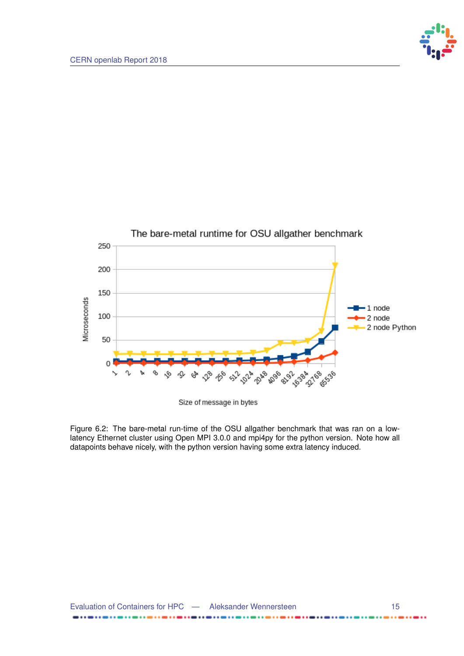

<span id="page-19-0"></span>

Size of message in bytes

Figure 6.2: The bare-metal run-time of the OSU allgather benchmark that was ran on a lowlatency Ethernet cluster using Open MPI 3.0.0 and mpi4py for the python version. Note how all datapoints behave nicely, with the python version having some extra latency induced.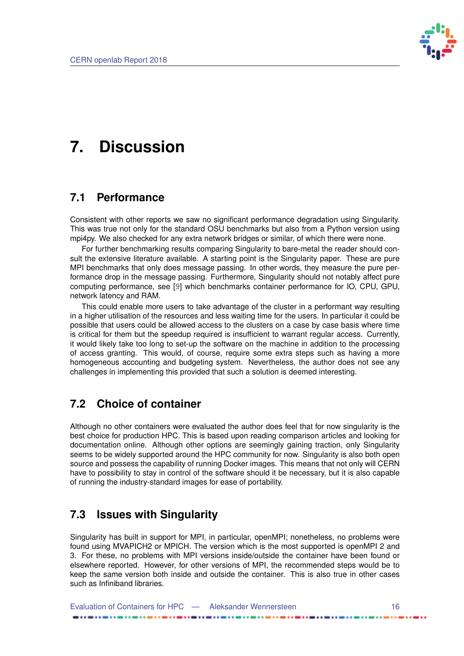

# <span id="page-20-5"></span><span id="page-20-0"></span>**7. Discussion**

#### <span id="page-20-1"></span>**7.1 Performance**

Consistent with other reports we saw no significant performance degradation using Singularity. This was true not only for the standard OSU benchmarks but also from a Python version using mpi4py. We also checked for any extra network bridges or similar, of which there were none.

For further benchmarking results comparing Singularity to bare-metal the reader should consult the extensive literature available. A starting point is the Singularity paper. These are pure MPI benchmarks that only does message passing. In other words, they measure the pure performance drop in the message passing. Furthermore, Singularity should not notably affect pure computing performance, see [\[9\]](#page-23-9) which benchmarks container performance for IO, CPU, GPU, network latency and RAM.

This could enable more users to take advantage of the cluster in a performant way resulting in a higher utilisation of the resources and less waiting time for the users. In particular it could be possible that users could be allowed access to the clusters on a case by case basis where time is critical for them but the speedup required is insufficient to warrant regular access. Currently, it would likely take too long to set-up the software on the machine in addition to the processing of access granting. This would, of course, require some extra steps such as having a more homogeneous accounting and budgeting system. Nevertheless, the author does not see any challenges in implementing this provided that such a solution is deemed interesting.

#### <span id="page-20-2"></span>**7.2 Choice of container**

Although no other containers were evaluated the author does feel that for now singularity is the best choice for production HPC. This is based upon reading comparison articles and looking for documentation online. Although other options are seemingly gaining traction, only Singularity seems to be widely supported around the HPC community for now. Singularity is also both open source and possess the capability of running Docker images. This means that not only will CERN have to possibility to stay in control of the software should it be necessary, but it is also capable of running the industry-standard images for ease of portability.

### <span id="page-20-3"></span>**7.3 Issues with Singularity**

<span id="page-20-4"></span>Singularity has built in support for MPI, in particular, openMPI; nonetheless, no problems were found using MVAPICH2 or MPICH. The version which is the most supported is openMPI 2 and 3. For these, no problems with MPI versions inside/outside the container have been found or elsewhere reported. However, for other versions of MPI, the recommended steps would be to keep the same version both inside and outside the container. This is also true in other cases such as Infiniband libraries.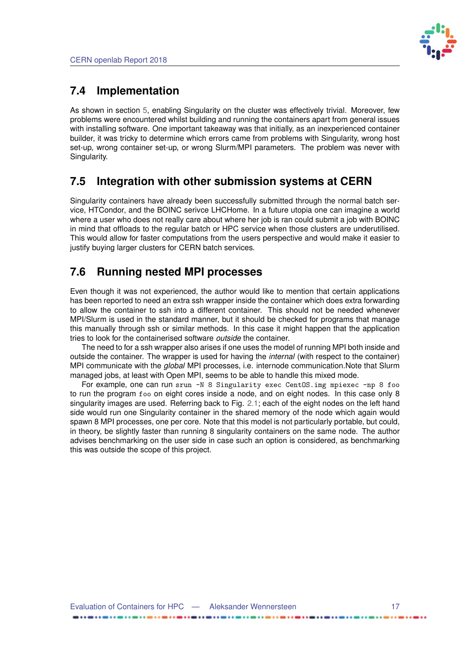

#### **7.4 Implementation**

As shown in section [5,](#page-15-0) enabling Singularity on the cluster was effectively trivial. Moreover, few problems were encountered whilst building and running the containers apart from general issues with installing software. One important takeaway was that initially, as an inexperienced container builder, it was tricky to determine which errors came from problems with Singularity, wrong host set-up, wrong container set-up, or wrong Slurm/MPI parameters. The problem was never with Singularity.

#### <span id="page-21-0"></span>**7.5 Integration with other submission systems at CERN**

Singularity containers have already been successfully submitted through the normal batch service, HTCondor, and the BOINC serivce LHCHome. In a future utopia one can imagine a world where a user who does not really care about where her job is ran could submit a job with BOINC in mind that offloads to the regular batch or HPC service when those clusters are underutilised. This would allow for faster computations from the users perspective and would make it easier to justify buying larger clusters for CERN batch services.

### <span id="page-21-1"></span>**7.6 Running nested MPI processes**

Even though it was not experienced, the author would like to mention that certain applications has been reported to need an extra ssh wrapper inside the container which does extra forwarding to allow the container to ssh into a different container. This should not be needed whenever MPI/Slurm is used in the standard manner, but it should be checked for programs that manage this manually through ssh or similar methods. In this case it might happen that the application tries to look for the containerised software *outside* the container.

The need to for a ssh wrapper also arises if one uses the model of running MPI both inside and outside the container. The wrapper is used for having the *internal* (with respect to the container) MPI communicate with the *global* MPI processes, i.e. internode communication.Note that Slurm managed jobs, at least with Open MPI, seems to be able to handle this mixed mode.

For example, one can run srun -N 8 Singularity exec CentOS.img mpiexec -np 8 foo to run the program foo on eight cores inside a node, and on eight nodes. In this case only 8 singularity images are used. Referring back to Fig. [2.1;](#page-6-1) each of the eight nodes on the left hand side would run one Singularity container in the shared memory of the node which again would spawn 8 MPI processes, one per core. Note that this model is not particularly portable, but could, in theory, be slightly faster than running 8 singularity containers on the same node. The author advises benchmarking on the user side in case such an option is considered, as benchmarking this was outside the scope of this project.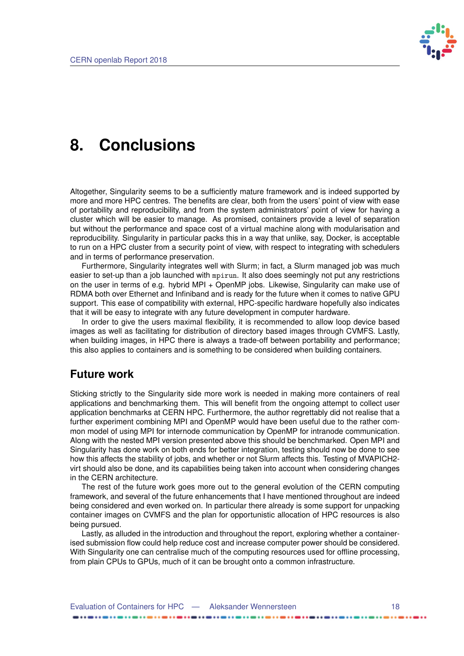

### <span id="page-22-0"></span>**8. Conclusions**

Altogether, Singularity seems to be a sufficiently mature framework and is indeed supported by more and more HPC centres. The benefits are clear, both from the users' point of view with ease of portability and reproducibility, and from the system administrators' point of view for having a cluster which will be easier to manage. As promised, containers provide a level of separation but without the performance and space cost of a virtual machine along with modularisation and reproducibility. Singularity in particular packs this in a way that unlike, say, Docker, is acceptable to run on a HPC cluster from a security point of view, with respect to integrating with schedulers and in terms of performance preservation.

Furthermore, Singularity integrates well with Slurm; in fact, a Slurm managed job was much easier to set-up than a job launched with mpirun. It also does seemingly not put any restrictions on the user in terms of e.g. hybrid MPI + OpenMP jobs. Likewise, Singularity can make use of RDMA both over Ethernet and Infiniband and is ready for the future when it comes to native GPU support. This ease of compatibility with external, HPC-specific hardware hopefully also indicates that it will be easy to integrate with any future development in computer hardware.

In order to give the users maximal flexibility, it is recommended to allow loop device based images as well as facilitating for distribution of directory based images through CVMFS. Lastly, when building images, in HPC there is always a trade-off between portability and performance; this also applies to containers and is something to be considered when building containers.

#### **Future work**

Sticking strictly to the Singularity side more work is needed in making more containers of real applications and benchmarking them. This will benefit from the ongoing attempt to collect user application benchmarks at CERN HPC. Furthermore, the author regrettably did not realise that a further experiment combining MPI and OpenMP would have been useful due to the rather common model of using MPI for internode communication by OpenMP for intranode communication. Along with the nested MPI version presented above this should be benchmarked. Open MPI and Singularity has done work on both ends for better integration, testing should now be done to see how this affects the stability of jobs, and whether or not Slurm affects this. Testing of MVAPICH2 virt should also be done, and its capabilities being taken into account when considering changes in the CERN architecture.

The rest of the future work goes more out to the general evolution of the CERN computing framework, and several of the future enhancements that I have mentioned throughout are indeed being considered and even worked on. In particular there already is some support for unpacking container images on CVMFS and the plan for opportunistic allocation of HPC resources is also being pursued.

Lastly, as alluded in the introduction and throughout the report, exploring whether a containerised submission flow could help reduce cost and increase computer power should be considered. With Singularity one can centralise much of the computing resources used for offline processing, from plain CPUs to GPUs, much of it can be brought onto a common infrastructure.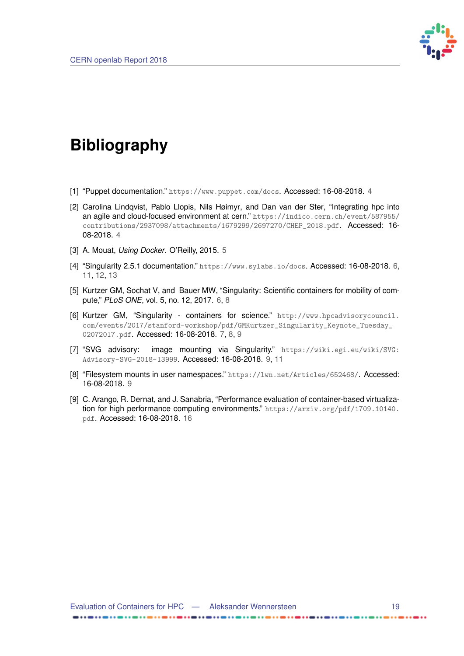

# <span id="page-23-0"></span>**Bibliography**

- <span id="page-23-1"></span>[1] "Puppet documentation." <https://www.puppet.com/docs>. Accessed: 16-08-2018. [4](#page-8-1)
- <span id="page-23-2"></span>[2] Carolina Lindqvist, Pablo Llopis, Nils Høimyr, and Dan van der Ster, "Integrating hpc into an agile and cloud-focused environment at cern." [https://indico.cern.ch/event/587955/](https://indico.cern.ch/event/587955/contributions/2937098/attachments/1679299/2697270/CHEP_2018.pdf) [contributions/2937098/attachments/1679299/2697270/CHEP\\_2018.pdf](https://indico.cern.ch/event/587955/contributions/2937098/attachments/1679299/2697270/CHEP_2018.pdf). Accessed: 16- 08-2018. [4](#page-8-1)
- <span id="page-23-3"></span>[3] A. Mouat, *Using Docker*. O'Reilly, 2015. [5](#page-9-3)
- <span id="page-23-4"></span>[4] "Singularity 2.5.1 documentation." <https://www.sylabs.io/docs>. Accessed: 16-08-2018. [6,](#page-10-2) [11,](#page-15-3) [12,](#page-16-1) [13](#page-17-1)
- <span id="page-23-5"></span>[5] Kurtzer GM, Sochat V, and Bauer MW, "Singularity: Scientific containers for mobility of compute," *PLoS ONE*, vol. 5, no. 12, 2017. [6,](#page-10-2) [8](#page-12-2)
- <span id="page-23-6"></span>[6] Kurtzer GM, "Singularity - containers for science." [http://www.hpcadvisorycouncil.](http://www.hpcadvisorycouncil.com/events/2017/stanford-workshop/pdf/GMKurtzer_Singularity_Keynote_Tuesday_02072017.pdf) [com/events/2017/stanford-workshop/pdf/GMKurtzer\\_Singularity\\_Keynote\\_Tuesday\\_](http://www.hpcadvisorycouncil.com/events/2017/stanford-workshop/pdf/GMKurtzer_Singularity_Keynote_Tuesday_02072017.pdf) [02072017.pdf](http://www.hpcadvisorycouncil.com/events/2017/stanford-workshop/pdf/GMKurtzer_Singularity_Keynote_Tuesday_02072017.pdf). Accessed: 16-08-2018. [7,](#page-11-1) [8,](#page-12-2) [9](#page-13-2)
- <span id="page-23-7"></span>[7] "SVG advisory: image mounting via Singularity." [https://wiki.egi.eu/wiki/SVG:](https://wiki.egi.eu/wiki/SVG:Advisory-SVG-2018-13999) [Advisory-SVG-2018-13999](https://wiki.egi.eu/wiki/SVG:Advisory-SVG-2018-13999). Accessed: 16-08-2018. [9,](#page-13-2) [11](#page-15-3)
- <span id="page-23-8"></span>[8] "Filesystem mounts in user namespaces." <https://lwn.net/Articles/652468/>. Accessed: 16-08-2018. [9](#page-13-2)
- <span id="page-23-9"></span>[9] C. Arango, R. Dernat, and J. Sanabria, "Performance evaluation of container-based virtualization for high performance computing environments." [https://arxiv.org/pdf/1709.10140.](https://arxiv.org/pdf/1709.10140.pdf) [pdf](https://arxiv.org/pdf/1709.10140.pdf). Accessed: 16-08-2018. [16](#page-20-5)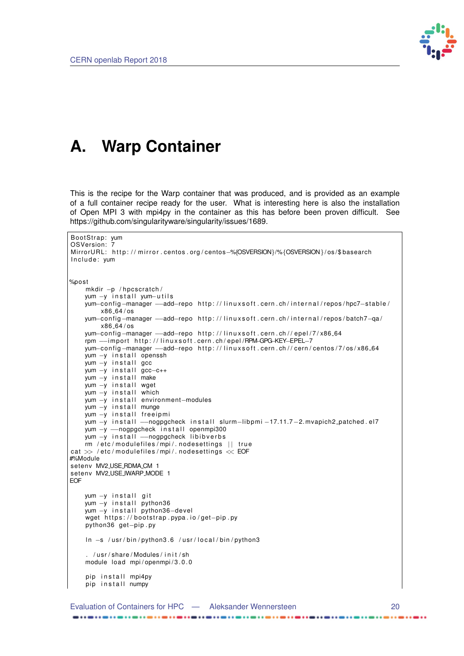

## <span id="page-24-0"></span>**A. Warp Container**

This is the recipe for the Warp container that was produced, and is provided as an example of a full container recipe ready for the user. What is interesting here is also the installation of Open MPI 3 with mpi4py in the container as this has before been proven difficult. See https://github.com/singularityware/singularity/issues/1689.

```
BootStrap: yumOSVersion: 7
MirrorURL: http://mirror.centos.org/centos-%{OSVERSION}/%{OSVERSION}/os/$basearch
Include: yum
%po st
    mkdir -p / hpcscratch/
    yum -y install yum-utils
    yum−config−manager —add-repo http://linuxsoft.cern.ch/internal/repos/hpc7-stable/
        x86 64 / os
    yum-config-manager --add-repo http://linuxsoft.cern.ch/internal/repos/batch7-qa/
        x86 - 64 / osyum-config-manager --add-repo http://linuxsoft.cern.ch//epel/7/x86_64
    rpm --import http://linuxsoft.cern.ch/epel/RPM-GPG-KEY-EPEL-7
    yum-config-manager --add-repo http://linuxsoft.cern.ch//cern/centos/7/os/x86_64
    yum -y install openssh
    yum -y install gcc
    yum -y install gcc-c++
    yum -y install make
    yum —y install wget
    yum —y install which
    yum -y in stall environment-modules
    yum -y install munge
    yum -y install freeipmi
    yum -y in stall --nogpgcheck in stall slurm-libpmi -17.11.7-2. mvapich2 patched . el7
    yum -y -nogpgcheck install openmpi300
    yum -y install - nogpgcheck libibverbs
    rm / etc/modulefiles/mpi/.nodesettings || true
cat \gg /etc/modulefiles/mpi/. nodesettings \ll EOF
#%Module
seteny MV2_USE_RDMA_CM_1
setenv MV2_USE_IWARP_MODE 1
EOF
    yum -y install git
    yum —y install python36
    yum —y install python36—devel
    wget https://bootstrap.pypa.io/get-pip.py
    python36 get-pip.py
    ln -s /usr/bin/python3.6 /usr/local/bin/python3
     . /usr/share/Modules/init/sh
    module load mpi/openmpi/3.0.0
    pip install mpi4py
    pip install numpy
```
 $......$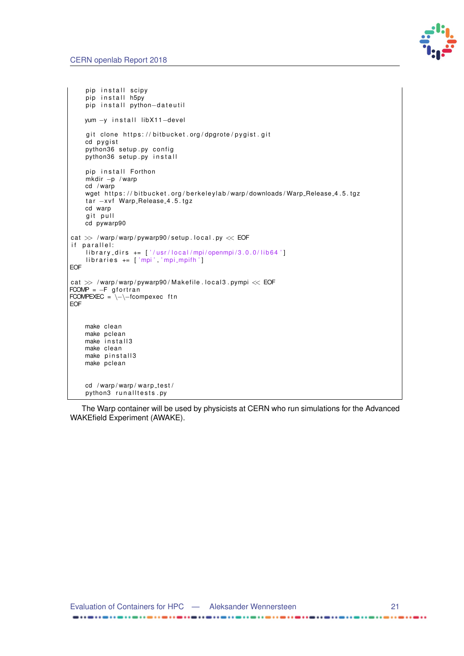

```
pip install scipy
    pip install h5py
    pip install python-dateutil
    yum -y install libX11-devel
    git clone https://bitbucket.org/dpgrote/pygist.git
    cd pvgist
    python36 setup .py config
    python36 setup .py install
    pip install Forthon
    mkdir -p / warp
    cd / warp
    wget https://bitbucket.org/berkeleylab/warp/downloads/Warp_Release_4.5.tgz
    tar -xvf Warp_Release_4.5.tgz
    cd warp
    git pull
    cd pywarp90
cat \gg /warp/warp/pywarp90/setup.local.py \ll EOF
if parallel:
    library\_dirs += ['/usr/local/mpi/openmpi/3.0.0/lib64']libraries += ['mpi', 'mpi_mpi']EOF
cat \gg\, /warp/warp/pywarp90/Makefile .local3 .pympi \ll EOF
FCOMP = -F gfortran
FCOMPEXEC = \{-\}-fcompexec ftn
EOF
    make clean
    make pclean
    make in stall3
    make clean
    make pinstall3
    make pclean
    cd /warp/warp/warp_test/
    python3 runalItests .py
```
The Warp container will be used by physicists at CERN who run simulations for the Advanced WAKEfield Experiment (AWAKE).

 $......$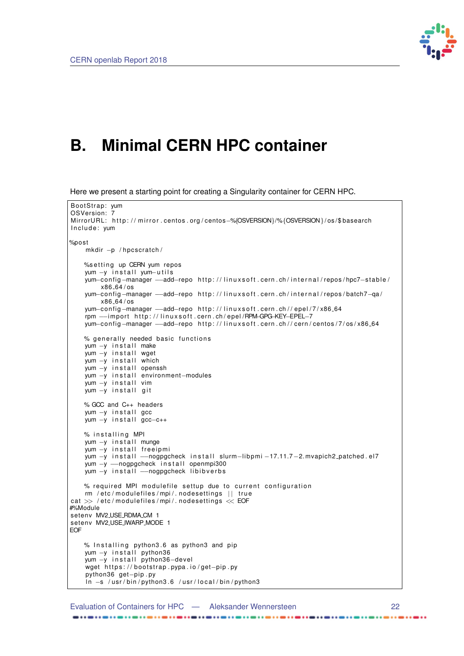

## <span id="page-26-0"></span>**B. Minimal CERN HPC container**

Here we present a starting point for creating a Singularity container for CERN HPC.

```
BootStrap: yum
OSVersion: 7
MirrorURL: http://mirror.centos.org/centos-%{OSVERSION}/%{OSVERSION}/os/$basearch
Include: yum
%po st
    mkdir -p / hpcscratch/
    %setting up CERN yum repos
    yum −y install yum−utils
    yum−config–manager —–add–repo http://linuxsoft.cern.ch/internal/repos/hpc7–stable/
       x86 64 / os
    yum-config-manager --add-repo http://linuxsoft.cern.ch/internal/repos/batch7-qa/
        x86 64 / os
    yum-config-manager --add-repo http://linuxsoft.cern.ch//epel/7/x86_64
    rpm --import http://linuxsoft.cern.ch/epel/RPM-GPG-KEY-EPEL-7
    yum-config-manager --add-repo http://linuxsoft.cern.ch//cern/centos/7/os/x86_64
    % generally needed basic functions
    yum -y in stall make
    yum -y install wget
    yum -y in stall which
    yum -y install openssh
    yum -y in stall environment-modules
    yum -y install vim
    yum -y install git
    % GCC and C++ headers
    yum -y install gcc
    yum -y install gcc-c++% installing MPI
    yum -y in stall munge
    yum -y install freeipmi
    yum -y in stall --nogpgcheck in stall slurm-lib pmi -17.11.7-2. mvapich2_patched.el7
    yum -y -nogpgcheck install openmpi300
    yum -y install - nogpgcheck libibverbs
    % required MPI modulefile settup due to current configuration
    rm / etc/modulefiles/mpi/.nodesettings || true
cat \gg /etc/modulefiles/mpi/.nodesettings \ll EOF
#%Module
setenv MV2_USE_RDMA_CM 1
setenv MV2_USE_IWARP_MODE 1
EOF
    % Installing python3.6 as python3 and pip
    yum -y install python36
    yum -y install python36-devel
    wget https://bootstrap.pypa.io/get-pip.py
    python36 get-pip.py
    ln -s /usr/bin/python3.6 /usr/local/bin/python3
```
Evaluation of Containers for HPC — Aleksander Wennersteen 22

. . . . . . .